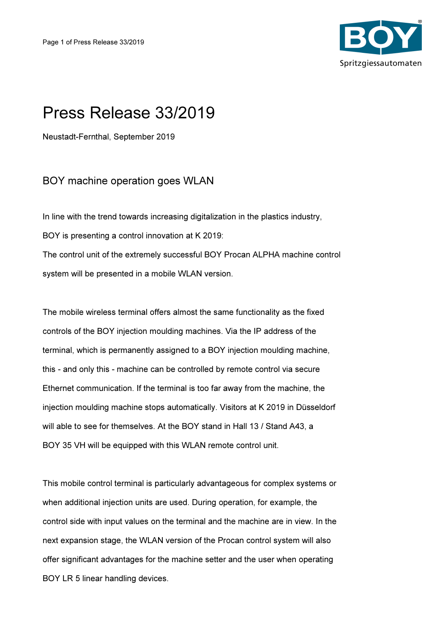

## Press Release 33/2019

Neustadt-Fernthal, September 2019

## BOY machine operation goes WLAN

In line with the trend towards increasing digitalization in the plastics industry, BOY is presenting a control innovation at K 2019: The control unit of the extremely successful BOY Procan ALPHA machine control system will be presented in a mobile WLAN version.

The mobile wireless terminal offers almost the same functionality as the fixed controls of the BOY injection moulding machines. Via the IP address of the terminal, which is permanently assigned to a BOY injection moulding machine, this - and only this - machine can be controlled by remote control via secure Ethernet communication. If the terminal is too far away from the machine, the injection moulding machine stops automatically. Visitors at K 2019 in Düsseldorf will able to see for themselves. At the BOY stand in Hall 13 / Stand A43, a BOY 35 VH will be equipped with this WLAN remote control unit.

This mobile control terminal is particularly advantageous for complex systems or when additional injection units are used. During operation, for example, the control side with input values on the terminal and the machine are in view. In the next expansion stage, the WLAN version of the Procan control system will also offer significant advantages for the machine setter and the user when operating BOY LR 5 linear handling devices.